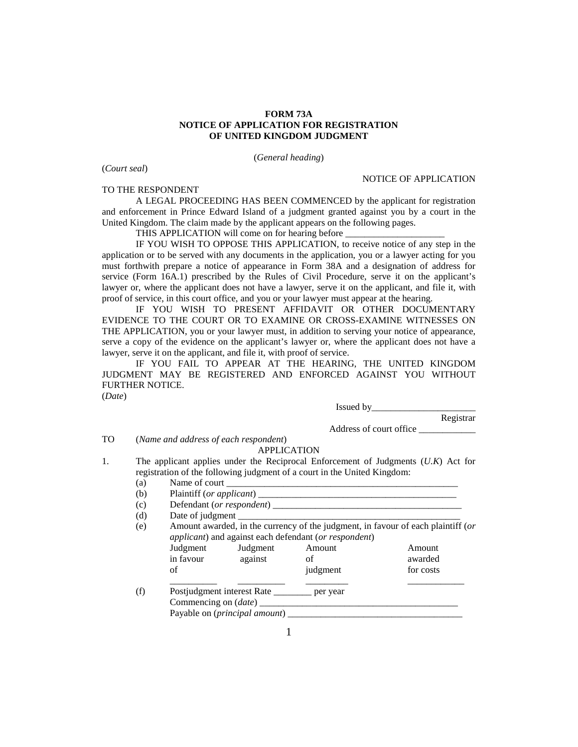## **FORM 73A NOTICE OF APPLICATION FOR REGISTRATION OF UNITED KINGDOM JUDGMENT**

(*General heading*)

(*Court seal*)

TO THE RESPONDENT

## NOTICE OF APPLICATION

A LEGAL PROCEEDING HAS BEEN COMMENCED by the applicant for registration and enforcement in Prince Edward Island of a judgment granted against you by a court in the United Kingdom. The claim made by the applicant appears on the following pages.

THIS APPLICATION will come on for hearing before

IF YOU WISH TO OPPOSE THIS APPLICATION, to receive notice of any step in the application or to be served with any documents in the application, you or a lawyer acting for you must forthwith prepare a notice of appearance in Form 38A and a designation of address for service (Form 16A.1) prescribed by the Rules of Civil Procedure, serve it on the applicant's lawyer or, where the applicant does not have a lawyer, serve it on the applicant, and file it, with proof of service, in this court office, and you or your lawyer must appear at the hearing.

IF YOU WISH TO PRESENT AFFIDAVIT OR OTHER DOCUMENTARY EVIDENCE TO THE COURT OR TO EXAMINE OR CROSS-EXAMINE WITNESSES ON THE APPLICATION, you or your lawyer must, in addition to serving your notice of appearance, serve a copy of the evidence on the applicant's lawyer or, where the applicant does not have a lawyer, serve it on the applicant, and file it, with proof of service.

IF YOU FAIL TO APPEAR AT THE HEARING, THE UNITED KINGDOM JUDGMENT MAY BE REGISTERED AND ENFORCED AGAINST YOU WITHOUT FURTHER NOTICE. (*Date*)

> Issued by\_\_\_\_\_\_\_\_\_\_\_\_\_\_\_\_\_\_\_\_\_\_ Registrar

Address of court office

TO (*Name and address of each respondent*)

## APPLICATION

- 1. The applicant applies under the Reciprocal Enforcement of Judgments (*U.K*) Act for registration of the following judgment of a court in the United Kingdom:
	- (a) Name of court  $\frac{1}{\sqrt{1-\frac{1}{2}}}\left| \frac{1}{\sqrt{1-\frac{1}{2}}}\right|$ (b) Plaintiff (*or applicant*) \_\_\_\_\_\_\_\_\_\_\_\_\_\_\_\_\_\_\_\_\_\_\_\_\_\_\_\_\_\_\_\_\_\_\_\_\_\_\_\_\_\_ (c) Defendant (*or respondent*)  $(d)$  Date of judgment (e) Amount awarded, in the currency of the judgment, in favour of each plaintiff (*or applicant*) and against each defendant (*or respondent*) Judgment Judgment Amount and Amount and Amount and Amount and Amount and Amount and Amount and Amount and Amount and Amount and Amount and Amount and Amount and Amount and Amount and Amount and Amount and Amount and Amount against of awarded of iudgment for costs \_\_\_\_\_\_\_\_\_\_ \_\_\_\_\_\_\_\_\_\_ \_\_\_\_\_\_\_\_\_ \_\_\_\_\_\_\_\_\_\_\_\_ (f) Postjudgment interest Rate \_\_\_\_\_\_\_ per year Commencing on (*date*) \_\_\_\_\_\_\_\_\_\_\_\_\_\_\_\_\_\_\_\_\_\_\_\_\_\_\_\_\_\_\_\_\_\_\_\_\_\_\_\_\_\_ Payable on (*principal amount*)